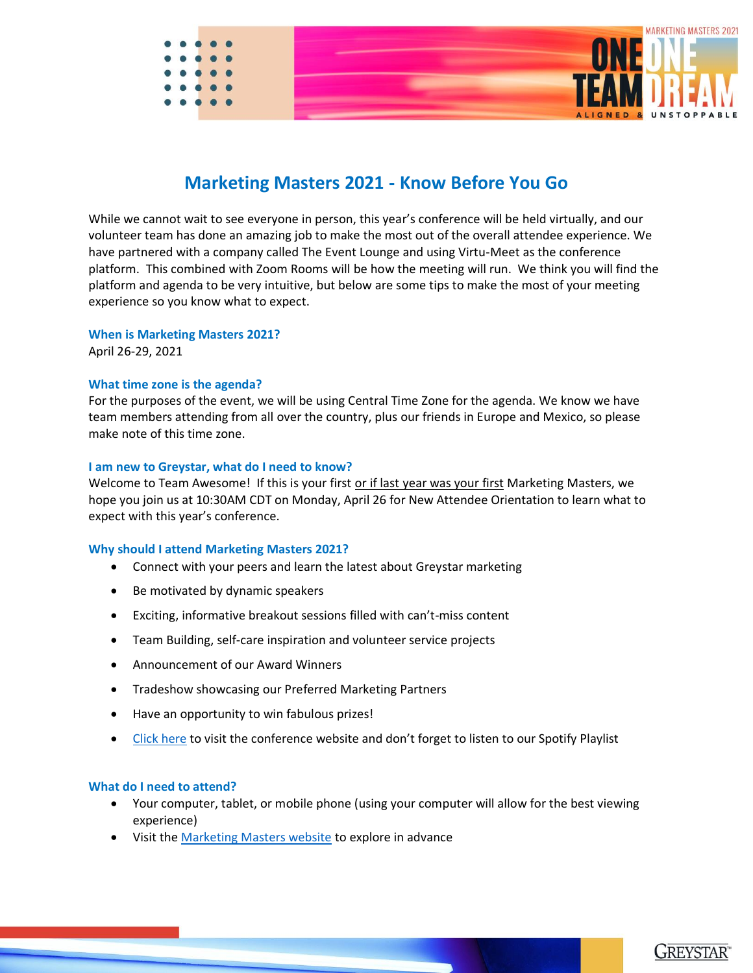

# **Marketing Masters 2021 - Know Before You Go**

While we cannot wait to see everyone in person, this year's conference will be held virtually, and our volunteer team has done an amazing job to make the most out of the overall attendee experience. We have partnered with a company called The Event Lounge and using Virtu-Meet as the conference platform. This combined with Zoom Rooms will be how the meeting will run. We think you will find the platform and agenda to be very intuitive, but below are some tips to make the most of your meeting experience so you know what to expect.

### **When is Marketing Masters 2021?**

April 26-29, 2021

### **What time zone is the agenda?**

For the purposes of the event, we will be using Central Time Zone for the agenda. We know we have team members attending from all over the country, plus our friends in Europe and Mexico, so please make note of this time zone.

### **I am new to Greystar, what do I need to know?**

Welcome to Team Awesome! If this is your first or if last year was your first Marketing Masters, we hope you join us at 10:30AM CDT on Monday, April 26 for New Attendee Orientation to learn what to expect with this year's conference.

### **Why should I attend Marketing Masters 2021?**

- Connect with your peers and learn the latest about Greystar marketing
- Be motivated by dynamic speakers
- Exciting, informative breakout sessions filled with can't-miss content
- Team Building, self-care inspiration and volunteer service projects
- Announcement of our Award Winners
- Tradeshow showcasing our Preferred Marketing Partners
- Have an opportunity to win fabulous prizes!
- [Click here](https://www.greystarmarketingmasters.com/) to visit the conference website and don't forget to listen to our Spotify Playlist

### **What do I need to attend?**

- Your computer, tablet, or mobile phone (using your computer will allow for the best viewing experience)
- Visit the [Marketing Masters website](https://www.greystarmarketingmasters.com/) to explore in advance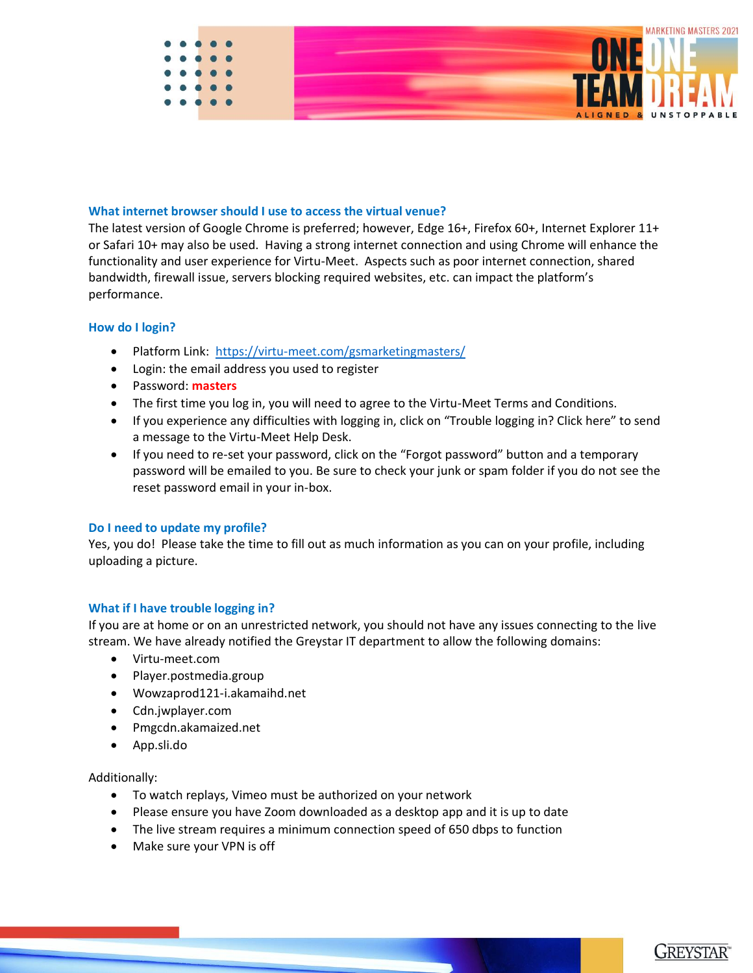

### **What internet browser should I use to access the virtual venue?**

The latest version of Google Chrome is preferred; however, Edge 16+, Firefox 60+, Internet Explorer 11+ or Safari 10+ may also be used. Having a strong internet connection and using Chrome will enhance the functionality and user experience for Virtu-Meet. Aspects such as poor internet connection, shared bandwidth, firewall issue, servers blocking required websites, etc. can impact the platform's performance.

### **How do I login?**

- Platform Link: <https://virtu-meet.com/gsmarketingmasters/>
- Login: the email address you used to register
- Password: **masters**
- The first time you log in, you will need to agree to the Virtu-Meet Terms and Conditions.
- If you experience any difficulties with logging in, click on "Trouble logging in? Click here" to send a message to the Virtu-Meet Help Desk.
- If you need to re-set your password, click on the "Forgot password" button and a temporary password will be emailed to you. Be sure to check your junk or spam folder if you do not see the reset password email in your in-box.

### **Do I need to update my profile?**

Yes, you do! Please take the time to fill out as much information as you can on your profile, including uploading a picture.

### **What if I have trouble logging in?**

If you are at home or on an unrestricted network, you should not have any issues connecting to the live stream. We have already notified the Greystar IT department to allow the following domains:

- Virtu-meet.com
- Player.postmedia.group
- Wowzaprod121-i.akamaihd.net
- Cdn.jwplayer.com
- Pmgcdn.akamaized.net
- App.sli.do

### Additionally:

- To watch replays, Vimeo must be authorized on your network
- Please ensure you have Zoom downloaded as a desktop app and it is up to date
- The live stream requires a minimum connection speed of 650 dbps to function
- Make sure your VPN is off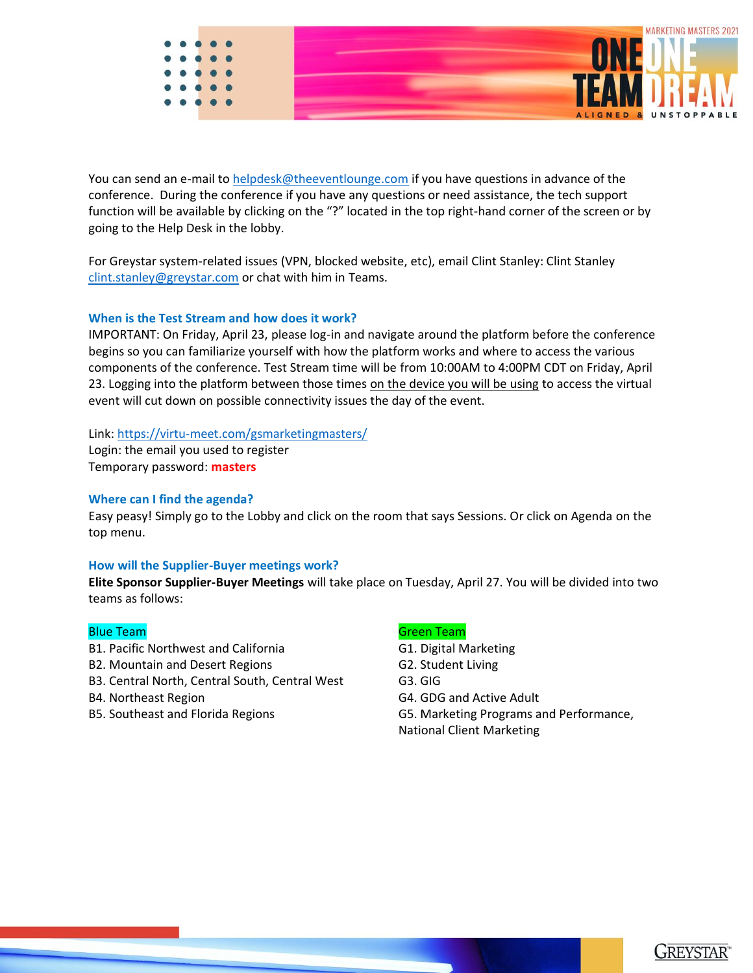

You can send an e-mail to [helpdesk@theeventlounge.com](mailto:helpdesk@theeventlounge.com) if you have questions in advance of the conference. During the conference if you have any questions or need assistance, the tech support function will be available by clicking on the "?" located in the top right-hand corner of the screen or by going to the Help Desk in the lobby.

For Greystar system-related issues (VPN, blocked website, etc), email Clint Stanley: Clint Stanley [clint.stanley@greystar.com](mailto:clint.stanley@greystar.com) or chat with him in Teams.

### **When is the Test Stream and how does it work?**

IMPORTANT: On Friday, April 23, please log-in and navigate around the platform before the conference begins so you can familiarize yourself with how the platform works and where to access the various components of the conference. Test Stream time will be from 10:00AM to 4:00PM CDT on Friday, April 23. Logging into the platform between those times on the device you will be using to access the virtual event will cut down on possible connectivity issues the day of the event.

### Link:<https://virtu-meet.com/gsmarketingmasters/>

Login: the email you used to register Temporary password: **masters**

### **Where can I find the agenda?**

Easy peasy! Simply go to the Lobby and click on the room that says Sessions. Or click on Agenda on the top menu.

### **How will the Supplier-Buyer meetings work?**

**Elite Sponsor Supplier-Buyer Meetings** will take place on Tuesday, April 27. You will be divided into two teams as follows:

- B1. Pacific Northwest and California G1. Digital Marketing
- B2. Mountain and Desert Regions G2. Student Living
- B3. Central North, Central South, Central West G3. GIG
- 
- 

### **Blue Team Green Team Contract Contract Contract Contract Contract Contract Contract Contract Contract Contract**

- 
- 
- 
- B4. Northeast Region G4. GDG and Active Adult
- B5. Southeast and Florida Regions G5. Marketing Programs and Performance,

National Client Marketing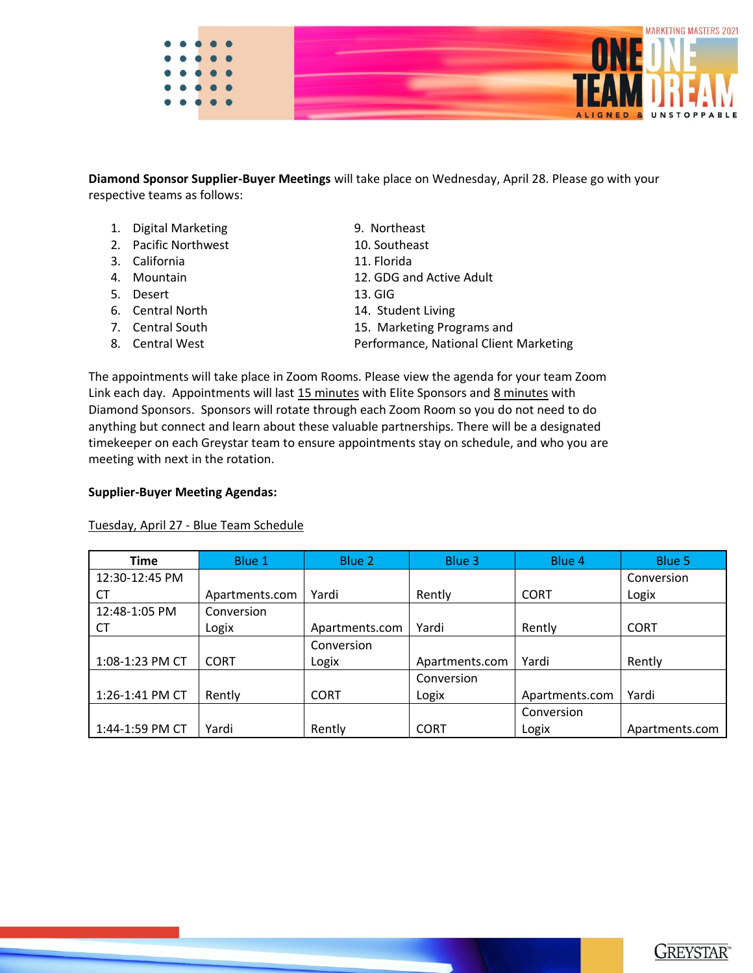

**Diamond Sponsor Supplier-Buyer Meetings** will take place on Wednesday, April 28. Please go with your respective teams as follows:

- 1. Digital Marketing 9. Northeast
- 2. Pacific Northwest 10. Southeast
- 3. California 11. Florida
- 
- 5. Desert 13. GIG
- 
- 
- 
- 
- 
- 
- 4. Mountain 12. GDG and Active Adult
	-
- 6. Central North 14. Student Living
- 7. Central South 15. Marketing Programs and
- 8. Central West **Performance, National Client Marketing**

The appointments will take place in Zoom Rooms. Please view the agenda for your team Zoom Link each day. Appointments will last 15 minutes with Elite Sponsors and 8 minutes with Diamond Sponsors. Sponsors will rotate through each Zoom Room so you do not need to do anything but connect and learn about these valuable partnerships. There will be a designated timekeeper on each Greystar team to ensure appointments stay on schedule, and who you are meeting with next in the rotation.

### **Supplier-Buyer Meeting Agendas:**

Tuesday, April 27 - Blue Team Schedule

| <b>Time</b>     | Blue 1         | Blue 2         | Blue 3         | Blue 4         | Blue 5         |
|-----------------|----------------|----------------|----------------|----------------|----------------|
| 12:30-12:45 PM  |                |                |                |                | Conversion     |
| <b>CT</b>       | Apartments.com | Yardi          | Rently         | <b>CORT</b>    | Logix          |
| 12:48-1:05 PM   | Conversion     |                |                |                |                |
| CT              | Logix          | Apartments.com | Yardi          | Rently         | <b>CORT</b>    |
|                 |                | Conversion     |                |                |                |
| 1:08-1:23 PM CT | <b>CORT</b>    | Logix          | Apartments.com | Yardi          | Rently         |
|                 |                |                | Conversion     |                |                |
| 1:26-1:41 PM CT | Rently         | <b>CORT</b>    | Logix          | Apartments.com | Yardi          |
|                 |                |                |                | Conversion     |                |
| 1:44-1:59 PM CT | Yardi          | Rently         | <b>CORT</b>    | Logix          | Apartments.com |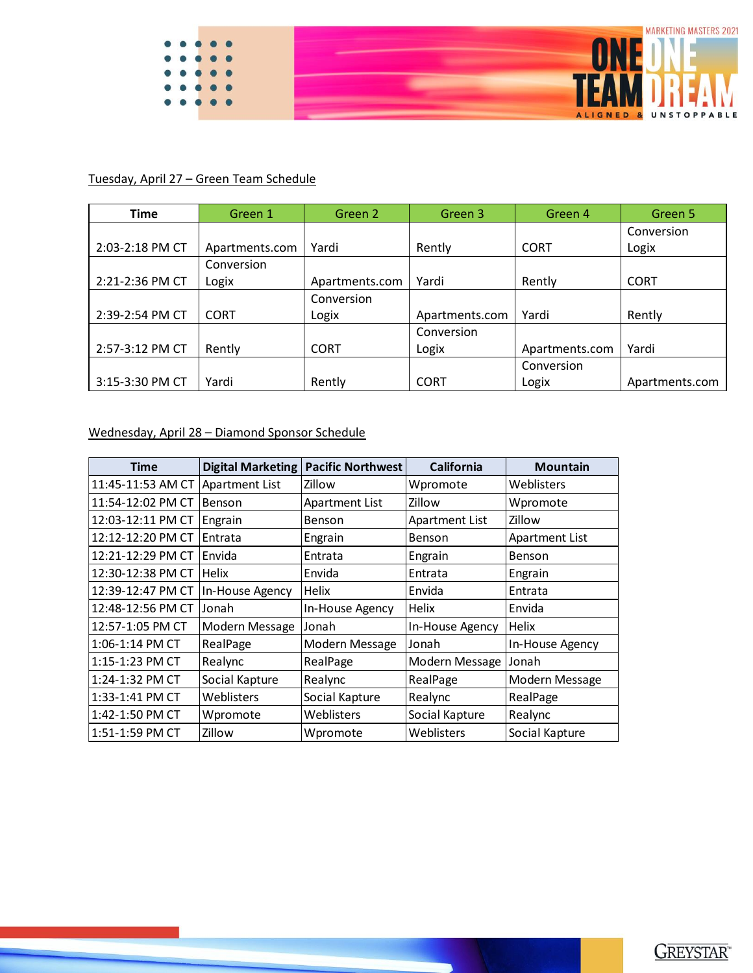

## Tuesday, April 27 – Green Team Schedule

| <b>Time</b>     | Green 1        | Green 2        | Green 3        | Green 4        | Green 5        |
|-----------------|----------------|----------------|----------------|----------------|----------------|
|                 |                |                |                |                | Conversion     |
| 2:03-2:18 PM CT | Apartments.com | Yardi          | Rently         | <b>CORT</b>    | Logix          |
|                 | Conversion     |                |                |                |                |
| 2:21-2:36 PM CT | Logix          | Apartments.com | Yardi          | Rently         | <b>CORT</b>    |
|                 |                | Conversion     |                |                |                |
| 2:39-2:54 PM CT | <b>CORT</b>    | Logix          | Apartments.com | Yardi          | Rently         |
|                 |                |                | Conversion     |                |                |
| 2:57-3:12 PM CT | Rently         | <b>CORT</b>    | Logix          | Apartments.com | Yardi          |
|                 |                |                |                | Conversion     |                |
| 3:15-3:30 PM CT | Yardi          | Rently         | <b>CORT</b>    | Logix          | Apartments.com |

Wednesday, April 28 – Diamond Sponsor Schedule

| <b>Time</b>         | Digital Marketing     | <b>Pacific Northwest</b> | <b>California</b>     | <b>Mountain</b> |
|---------------------|-----------------------|--------------------------|-----------------------|-----------------|
| 11:45-11:53 AM CT   | <b>Apartment List</b> | Zillow                   | Wpromote              | Weblisters      |
| 11:54-12:02 PM CT   | <b>Benson</b>         | <b>Apartment List</b>    | Zillow                | Wpromote        |
| 12:03-12:11 PM CT   | Engrain               | Benson                   | <b>Apartment List</b> | Zillow          |
| 12:12-12:20 PM CT   | Entrata               | Engrain                  | <b>Benson</b>         | Apartment List  |
| 12:21-12:29 PM CT   | Envida                | Entrata                  | Engrain               | Benson          |
| 12:30-12:38 PM CT   | <b>Helix</b>          | Envida                   | Entrata               | Engrain         |
| 12:39-12:47 PM CT   | In-House Agency       | <b>Helix</b>             | Envida                | Entrata         |
| 12:48-12:56 PM CT   | Jonah                 | In-House Agency          | Helix                 | Envida          |
| 12:57-1:05 PM CT    | Modern Message        | Jonah                    | In-House Agency       | <b>Helix</b>    |
| $1:06 - 1:14$ PM CT | RealPage              | Modern Message           | Jonah                 | In-House Agency |
| 1:15-1:23 PM CT     | Realync               | RealPage                 | Modern Message        | Jonah           |
| 1:24-1:32 PM CT     | Social Kapture        | Realync                  | RealPage              | Modern Message  |
| 1:33-1:41 PM CT     | Weblisters            | Social Kapture           | Realync               | RealPage        |
| 1:42-1:50 PM CT     | Wpromote              | Weblisters               | Social Kapture        | Realync         |
| 1:51-1:59 PM CT     | Zillow                | Wpromote                 | Weblisters            | Social Kapture  |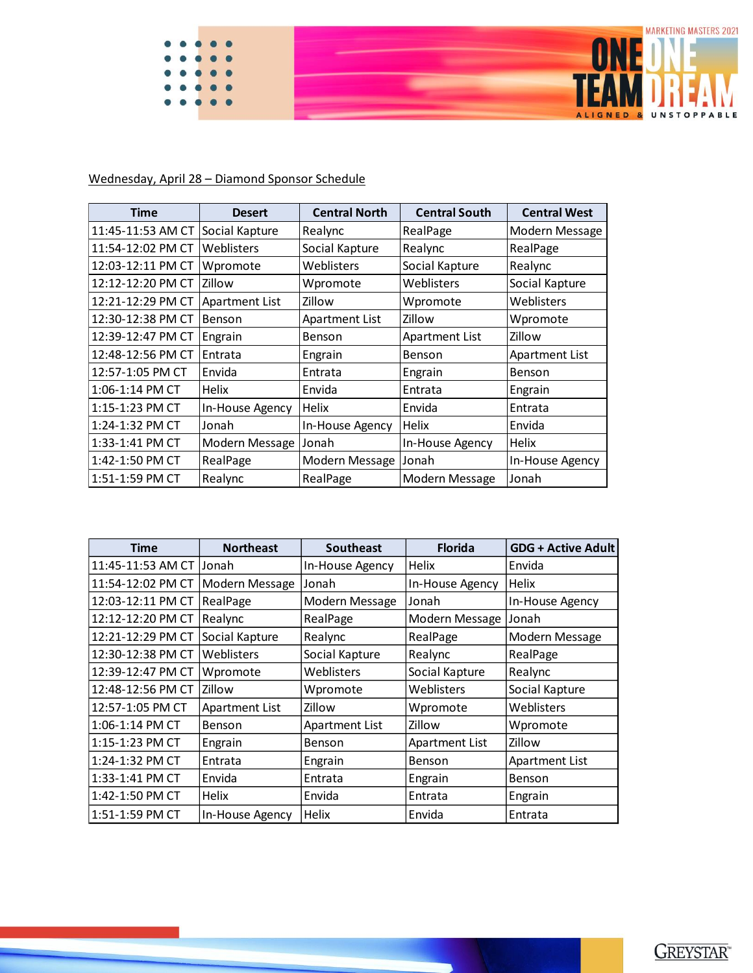

## Wednesday, April 28 – Diamond Sponsor Schedule

| Time                | <b>Desert</b>         | <b>Central North</b>  | <b>Central South</b>  | <b>Central West</b>   |
|---------------------|-----------------------|-----------------------|-----------------------|-----------------------|
| 11:45-11:53 AM CT   | Social Kapture        | Realync               | RealPage              | Modern Message        |
| 11:54-12:02 PM CT   | Weblisters            | Social Kapture        | Realync               | RealPage              |
| 12:03-12:11 PM CT   | Wpromote              | Weblisters            | Social Kapture        | Realync               |
| 12:12-12:20 PM CT   | Zillow                | Wpromote              | Weblisters            | Social Kapture        |
| 12:21-12:29 PM CT   | <b>Apartment List</b> | Zillow                | Wpromote              | Weblisters            |
| 12:30-12:38 PM CT   | <b>Benson</b>         | <b>Apartment List</b> | Zillow                | Wpromote              |
| 12:39-12:47 PM CT   | Engrain               | Benson                | <b>Apartment List</b> | Zillow                |
| 12:48-12:56 PM CT   | Entrata               | Engrain               | Benson                | <b>Apartment List</b> |
| 12:57-1:05 PM CT    | Envida                | Entrata               | Engrain               | Benson                |
| $1:06 - 1:14$ PM CT | Helix                 | Envida                | Entrata               | Engrain               |
| $1:15 - 1:23$ PM CT | In-House Agency       | <b>Helix</b>          | Envida                | Entrata               |
| 1:24-1:32 PM CT     | Jonah                 | In-House Agency       | Helix                 | Envida                |
| 1:33-1:41 PM CT     | Modern Message        | Jonah                 | In-House Agency       | <b>Helix</b>          |
| 1:42-1:50 PM CT     | RealPage              | Modern Message        | lJonah                | In-House Agency       |
| 1:51-1:59 PM CT     | Realync               | RealPage              | Modern Message        | Jonah                 |

| <b>Time</b>             | <b>Northeast</b>      | <b>Southeast</b>      | <b>Florida</b>        | <b>GDG + Active Adult</b> |
|-------------------------|-----------------------|-----------------------|-----------------------|---------------------------|
| 11:45-11:53 AM CT Jonah |                       | In-House Agency       | <b>Helix</b>          | Envida                    |
| 11:54-12:02 PM CT       | Modern Message        | Jonah                 | In-House Agency       | Helix                     |
| 12:03-12:11 PM CT       | RealPage              | Modern Message        | Jonah                 | In-House Agency           |
| 12:12-12:20 PM CT       | Realync               | RealPage              | Modern Message        | Jonah                     |
| 12:21-12:29 PM CT       | Social Kapture        | Realync               | RealPage              | Modern Message            |
| 12:30-12:38 PM CT       | Weblisters            | Social Kapture        | Realync               | RealPage                  |
| 12:39-12:47 PM CT       | Wpromote              | Weblisters            | Social Kapture        | Realync                   |
| 12:48-12:56 PM CT       | <b>Zillow</b>         | Wpromote              | Weblisters            | Social Kapture            |
| 12:57-1:05 PM CT        | <b>Apartment List</b> | Zillow                | Wpromote              | Weblisters                |
| 1:06-1:14 PM CT         | Benson                | <b>Apartment List</b> | Zillow                | Wpromote                  |
| 1:15-1:23 PM CT         | Engrain               | <b>Benson</b>         | <b>Apartment List</b> | Zillow                    |
| 1:24-1:32 PM CT         | Entrata               | Engrain               | Benson                | <b>Apartment List</b>     |
| 1:33-1:41 PM CT         | Envida                | Entrata               | Engrain               | <b>Benson</b>             |
| 1:42-1:50 PM CT         | <b>Helix</b>          | Envida                | Entrata               | Engrain                   |
| 1:51-1:59 PM CT         | In-House Agency       | Helix                 | Envida                | Entrata                   |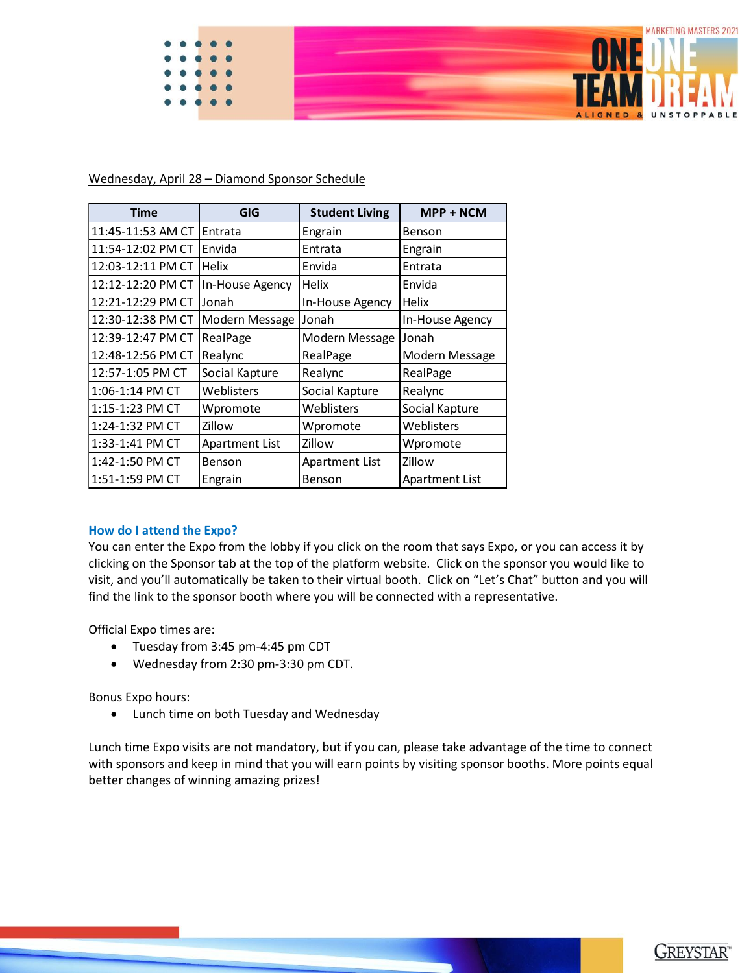

Wednesday, April 28 – Diamond Sponsor Schedule

| <b>Time</b>       | GIG                   | <b>Student Living</b> | MPP + NCM       |
|-------------------|-----------------------|-----------------------|-----------------|
| 11:45-11:53 AM CT | Entrata               | Engrain               | Benson          |
| 11:54-12:02 PM CT | Envida                | Entrata               | Engrain         |
| 12:03-12:11 PM CT | Helix                 | Envida                | Entrata         |
| 12:12-12:20 PM CT | In-House Agency       | Helix                 | Envida          |
| 12:21-12:29 PM CT | Jonah                 | In-House Agency       | Helix           |
| 12:30-12:38 PM CT | Modern Message        | Jonah                 | In-House Agency |
| 12:39-12:47 PM CT | RealPage              | Modern Message        | Jonah           |
| 12:48-12:56 PM CT | Realync               | RealPage              | Modern Message  |
| 12:57-1:05 PM CT  | Social Kapture        | Realync               | RealPage        |
| 1:06-1:14 PM CT   | Weblisters            | Social Kapture        | Realync         |
| 1:15-1:23 PM CT   | Wpromote              | Weblisters            | Social Kapture  |
| 1:24-1:32 PM CT   | Zillow                | Wpromote              | Weblisters      |
| 1:33-1:41 PM CT   | <b>Apartment List</b> | Zillow                | Wpromote        |
| 1:42-1:50 PM CT   | Benson                | <b>Apartment List</b> | Zillow          |
| 1:51-1:59 PM CT   | Engrain               | Benson                | Apartment List  |

### **How do I attend the Expo?**

You can enter the Expo from the lobby if you click on the room that says Expo, or you can access it by clicking on the Sponsor tab at the top of the platform website. Click on the sponsor you would like to visit, and you'll automatically be taken to their virtual booth. Click on "Let's Chat" button and you will find the link to the sponsor booth where you will be connected with a representative.

Official Expo times are:

- Tuesday from 3:45 pm-4:45 pm CDT
- Wednesday from 2:30 pm-3:30 pm CDT.

Bonus Expo hours:

• Lunch time on both Tuesday and Wednesday

Lunch time Expo visits are not mandatory, but if you can, please take advantage of the time to connect with sponsors and keep in mind that you will earn points by visiting sponsor booths. More points equal better changes of winning amazing prizes!

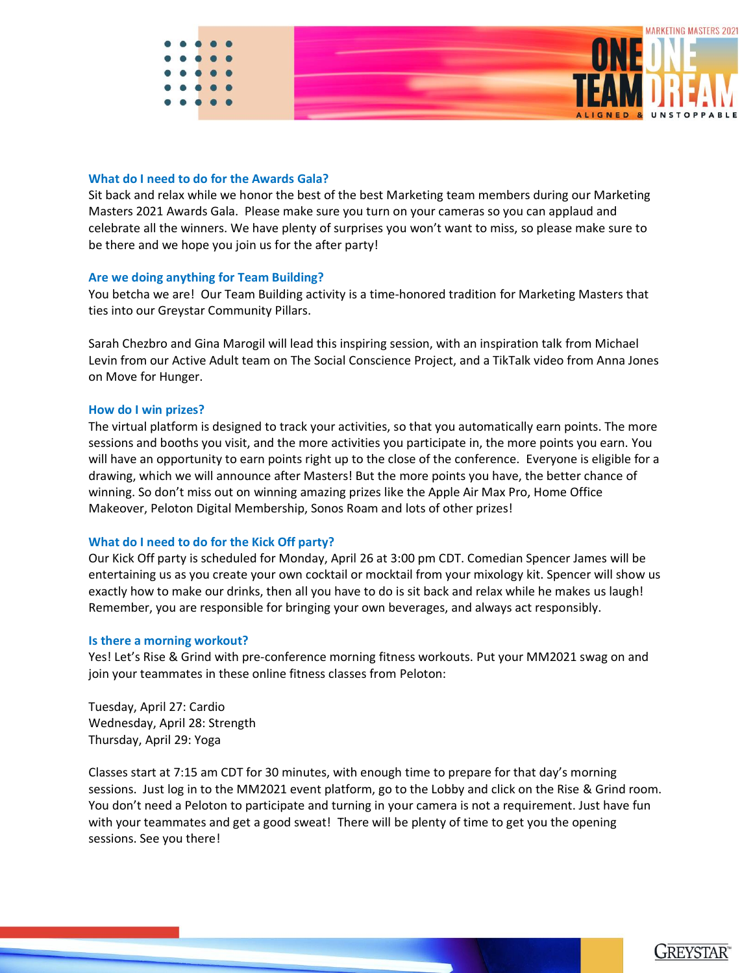

### **What do I need to do for the Awards Gala?**

Sit back and relax while we honor the best of the best Marketing team members during our Marketing Masters 2021 Awards Gala. Please make sure you turn on your cameras so you can applaud and celebrate all the winners. We have plenty of surprises you won't want to miss, so please make sure to be there and we hope you join us for the after party!

### **Are we doing anything for Team Building?**

You betcha we are! Our Team Building activity is a time-honored tradition for Marketing Masters that ties into our Greystar Community Pillars.

Sarah Chezbro and Gina Marogil will lead this inspiring session, with an inspiration talk from Michael Levin from our Active Adult team on The Social Conscience Project, and a TikTalk video from Anna Jones on Move for Hunger.

### **How do I win prizes?**

The virtual platform is designed to track your activities, so that you automatically earn points. The more sessions and booths you visit, and the more activities you participate in, the more points you earn. You will have an opportunity to earn points right up to the close of the conference. Everyone is eligible for a drawing, which we will announce after Masters! But the more points you have, the better chance of winning. So don't miss out on winning amazing prizes like the Apple Air Max Pro, Home Office Makeover, Peloton Digital Membership, Sonos Roam and lots of other prizes!

### **What do I need to do for the Kick Off party?**

Our Kick Off party is scheduled for Monday, April 26 at 3:00 pm CDT. Comedian Spencer James will be entertaining us as you create your own cocktail or mocktail from your mixology kit. Spencer will show us exactly how to make our drinks, then all you have to do is sit back and relax while he makes us laugh! Remember, you are responsible for bringing your own beverages, and always act responsibly.

### **Is there a morning workout?**

Yes! Let's Rise & Grind with pre-conference morning fitness workouts. Put your MM2021 swag on and join your teammates in these online fitness classes from Peloton:

Tuesday, April 27: Cardio Wednesday, April 28: Strength Thursday, April 29: Yoga

Classes start at 7:15 am CDT for 30 minutes, with enough time to prepare for that day's morning sessions. Just log in to the MM2021 event platform, go to the Lobby and click on the Rise & Grind room. You don't need a Peloton to participate and turning in your camera is not a requirement. Just have fun with your teammates and get a good sweat! There will be plenty of time to get you the opening sessions. See you there!